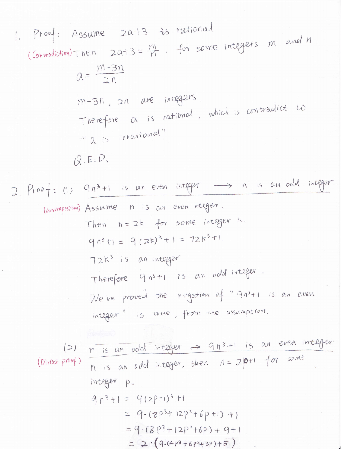1. Proof: Assume 2a+3 ts rational  $(Contribution)$ Then  $2a+3=\frac{m}{n}$ , for some integers m and n.  $a = \frac{m-3n}{2n}$ m-3n, 2n are integers Therefore a is rational, which is contradict to a is irrational!  $Q.E.P.$  $2. Provef: (1)$   $9n^3 + 1$  is an even integer  $\longrightarrow$  n is an odd integer (contrapositive) Assume n is an even integer. Then  $n = 2k$  for some integer  $k$ .  $9n^3 + 1 = 9(2k)^3 + 1 = 72k^3 + 1$ 72k<sup>3</sup> is an integer Therefore 9 n3 +1 is an odd integer. We've proved the negation of " 9n3+1 is an even integer" is true, from the assumption.  $n$  is an odel integer  $\Rightarrow$   $9n^3+1$  is an even integer  $(2)$  $n$  is an odd integer, then  $n = 2P + 1$  for some (Direct proof) integer p.  $9n^3+1 = 9(2p+1)^3+1$  $= 9-(8p^{3}+12p^{2}+6p+1) +1$  $= 9. (8p<sup>3</sup> + 12p<sup>2</sup>+6p) + 9 + 1$  $= 2 \cdot (9-(4p^{3}+6p^{2}+3p)+5)$